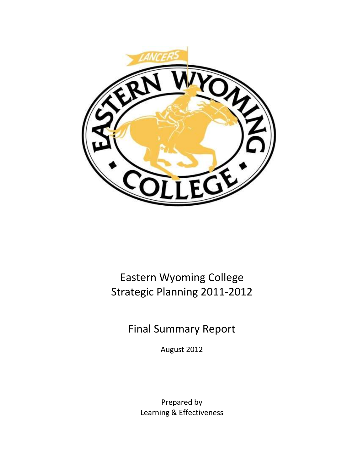

Eastern Wyoming College Strategic Planning 2011-2012

Final Summary Report

August 2012

Prepared by Learning & Effectiveness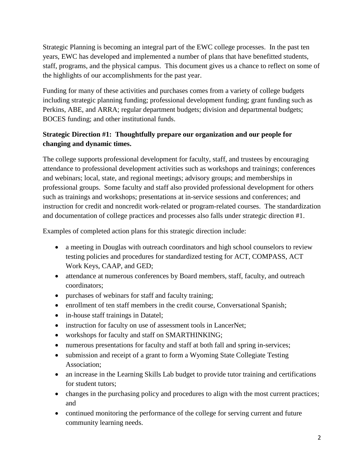Strategic Planning is becoming an integral part of the EWC college processes. In the past ten years, EWC has developed and implemented a number of plans that have benefitted students, staff, programs, and the physical campus. This document gives us a chance to reflect on some of the highlights of our accomplishments for the past year.

Funding for many of these activities and purchases comes from a variety of college budgets including strategic planning funding; professional development funding; grant funding such as Perkins, ABE, and ARRA; regular department budgets; division and departmental budgets; BOCES funding; and other institutional funds.

# **Strategic Direction #1: Thoughtfully prepare our organization and our people for changing and dynamic times.**

The college supports professional development for faculty, staff, and trustees by encouraging attendance to professional development activities such as workshops and trainings; conferences and webinars; local, state, and regional meetings; advisory groups; and memberships in professional groups. Some faculty and staff also provided professional development for others such as trainings and workshops; presentations at in-service sessions and conferences; and instruction for credit and noncredit work-related or program-related courses. The standardization and documentation of college practices and processes also falls under strategic direction #1.

Examples of completed action plans for this strategic direction include:

- a meeting in Douglas with outreach coordinators and high school counselors to review testing policies and procedures for standardized testing for ACT, COMPASS, ACT Work Keys, CAAP, and GED;
- attendance at numerous conferences by Board members, staff, faculty, and outreach coordinators;
- purchases of webinars for staff and faculty training;
- enrollment of ten staff members in the credit course, Conversational Spanish;
- in-house staff trainings in Datatel;
- instruction for faculty on use of assessment tools in LancerNet;
- workshops for faculty and staff on SMARTHINKING;
- numerous presentations for faculty and staff at both fall and spring in-services;
- submission and receipt of a grant to form a Wyoming State Collegiate Testing Association;
- an increase in the Learning Skills Lab budget to provide tutor training and certifications for student tutors;
- changes in the purchasing policy and procedures to align with the most current practices; and
- continued monitoring the performance of the college for serving current and future community learning needs.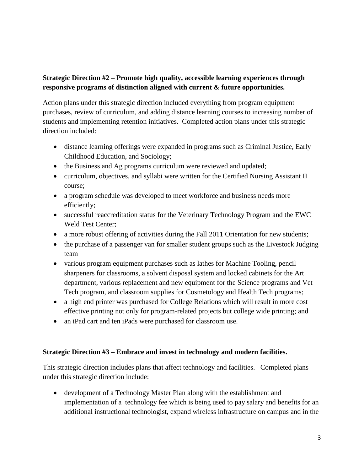## **Strategic Direction #2 – Promote high quality, accessible learning experiences through responsive programs of distinction aligned with current & future opportunities.**

Action plans under this strategic direction included everything from program equipment purchases, review of curriculum, and adding distance learning courses to increasing number of students and implementing retention initiatives. Completed action plans under this strategic direction included:

- distance learning offerings were expanded in programs such as Criminal Justice, Early Childhood Education, and Sociology;
- the Business and Ag programs curriculum were reviewed and updated;
- curriculum, objectives, and syllabi were written for the Certified Nursing Assistant II course;
- a program schedule was developed to meet workforce and business needs more efficiently;
- successful reaccreditation status for the Veterinary Technology Program and the EWC Weld Test Center;
- a more robust offering of activities during the Fall 2011 Orientation for new students;
- the purchase of a passenger van for smaller student groups such as the Livestock Judging team
- various program equipment purchases such as lathes for Machine Tooling, pencil sharpeners for classrooms, a solvent disposal system and locked cabinets for the Art department, various replacement and new equipment for the Science programs and Vet Tech program, and classroom supplies for Cosmetology and Health Tech programs;
- a high end printer was purchased for College Relations which will result in more cost effective printing not only for program-related projects but college wide printing; and
- an iPad cart and ten iPads were purchased for classroom use.

#### **Strategic Direction #3 – Embrace and invest in technology and modern facilities.**

This strategic direction includes plans that affect technology and facilities. Completed plans under this strategic direction include:

 development of a Technology Master Plan along with the establishment and implementation of a technology fee which is being used to pay salary and benefits for an additional instructional technologist, expand wireless infrastructure on campus and in the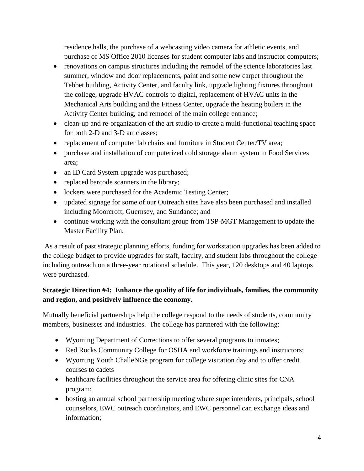residence halls, the purchase of a webcasting video camera for athletic events, and purchase of MS Office 2010 licenses for student computer labs and instructor computers;

- renovations on campus structures including the remodel of the science laboratories last summer, window and door replacements, paint and some new carpet throughout the Tebbet building, Activity Center, and faculty link, upgrade lighting fixtures throughout the college, upgrade HVAC controls to digital, replacement of HVAC units in the Mechanical Arts building and the Fitness Center, upgrade the heating boilers in the Activity Center building, and remodel of the main college entrance;
- clean-up and re-organization of the art studio to create a multi-functional teaching space for both 2-D and 3-D art classes;
- replacement of computer lab chairs and furniture in Student Center/TV area;
- purchase and installation of computerized cold storage alarm system in Food Services area;
- an ID Card System upgrade was purchased;
- replaced barcode scanners in the library;
- lockers were purchased for the Academic Testing Center;
- updated signage for some of our Outreach sites have also been purchased and installed including Moorcroft, Guernsey, and Sundance; and
- continue working with the consultant group from TSP-MGT Management to update the Master Facility Plan.

As a result of past strategic planning efforts, funding for workstation upgrades has been added to the college budget to provide upgrades for staff, faculty, and student labs throughout the college including outreach on a three-year rotational schedule. This year, 120 desktops and 40 laptops were purchased.

### **Strategic Direction #4: Enhance the quality of life for individuals, families, the community and region, and positively influence the economy.**

Mutually beneficial partnerships help the college respond to the needs of students, community members, businesses and industries. The college has partnered with the following:

- Wyoming Department of Corrections to offer several programs to inmates;
- Red Rocks Community College for OSHA and workforce trainings and instructors;
- Wyoming Youth ChalleNGe program for college visitation day and to offer credit courses to cadets
- healthcare facilities throughout the service area for offering clinic sites for CNA program;
- hosting an annual school partnership meeting where superintendents, principals, school counselors, EWC outreach coordinators, and EWC personnel can exchange ideas and information;